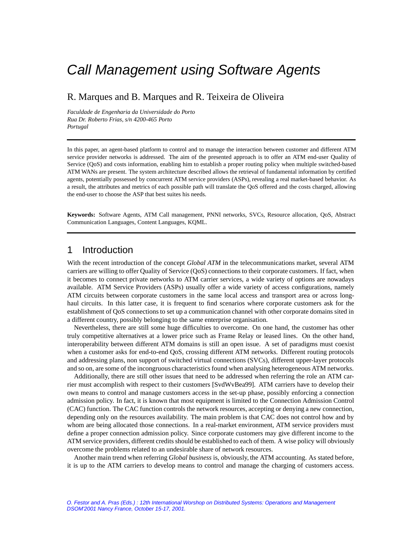# Call Management using Software Agents

### R. Marques and B. Marques and R. Teixeira de Oliveira

*Faculdade de Engenharia da Universidade do Porto Rua Dr. Roberto Frias, s/n 4200-465 Porto Portugal*

In this paper, an agent-based platform to control and to manage the interaction between customer and different ATM service provider networks is addressed. The aim of the presented approach is to offer an ATM end-user Quality of Service (QoS) and costs information, enabling him to establish a proper routing policy when multiple switched-based ATM WANs are present. The system architecture described allows the retrieval of fundamental information by certified agents, potentially possessed by concurrent ATM service providers (ASPs), revealing a real market-based behavior. As a result, the attributes and metrics of each possible path will translate the QoS offered and the costs charged, allowing the end-user to choose the ASP that best suites his needs.

**Keywords:** Software Agents, ATM Call management, PNNI networks, SVCs, Resource allocation, QoS, Abstract Communication Languages, Content Languages, KQML.

### 1 Introduction

With the recent introduction of the concept *Global ATM* in the telecommunications market, several ATM carriers are willing to offer Quality of Service (QoS) connections to their corporate customers. If fact, when it becomes to connect private networks to ATM carrier services, a wide variety of options are nowadays available. ATM Service Providers (ASPs) usually offer a wide variety of access configurations, namely ATM circuits between corporate customers in the same local access and transport area or across longhaul circuits. In this latter case, it is frequent to find scenarios where corporate customers ask for the establishment of QoS connections to set up a communication channel with other corporate domains sited in a different country, possibly belonging to the same enterprise organisation.

Nevertheless, there are still some huge difficulties to overcome. On one hand, the customer has other truly competitive alternatives at a lower price such as Frame Relay or leased lines. On the other hand, interoperability between different ATM domains is still an open issue. A set of paradigms must coexist when a customer asks for end-to-end QoS, crossing different ATM networks. Different routing protocols and addressing plans, non support of switched virtual connections (SVCs), different upper-layer protocols and so on, are some of the incongruous characteristics found when analysing heterogeneous ATM networks.

Additionally, there are still other issues that need to be addressed when referring the role an ATM carrier must accomplish with respect to their customers [SvdWvBea99]. ATM carriers have to develop their own means to control and manage customers access in the set-up phase, possibly enforcing a connection admission policy. In fact, it is known that most equipment is limited to the Connection Admission Control (CAC) function. The CAC function controls the network resources, accepting or denying a new connection, depending only on the resources availability. The main problem is that CAC does not control how and by whom are being allocated those connections. In a real-market environment, ATM service providers must define a proper connection admission policy. Since corporate customers may give different income to the ATM service providers, different credits should be established to each of them. A wise policy will obviously overcome the problems related to an undesirable share of network resources.

Another main trend when referring *Global business* is, obviously, the ATM accounting. As stated before, it is up to the ATM carriers to develop means to control and manage the charging of customers access.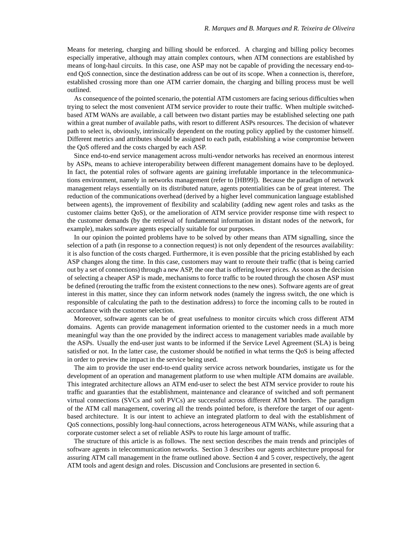Means for metering, charging and billing should be enforced. A charging and billing policy becomes especially imperative, although may attain complex contours, when ATM connections are established by means of long-haul circuits. In this case, one ASP may not be capable of providing the necessary end-toend QoS connection, since the destination address can be out of its scope. When a connection is, therefore, established crossing more than one ATM carrier domain, the charging and billing process must be well outlined.

As consequence of the pointed scenario, the potential ATM customers are facing serious difficulties when trying to select the most convenient ATM service provider to route their traffic. When multiple switchedbased ATM WANs are available, a call between two distant parties may be established selecting one path within a great number of available paths, with resort to different ASPs resources. The decision of whatever path to select is, obviously, intrinsically dependent on the routing policy applied by the customer himself. Different metrics and attributes should be assigned to each path, establishing a wise compromise between the QoS offered and the costs charged by each ASP.

Since end-to-end service management across multi-vendor networks has received an enormous interest by ASPs, means to achieve interoperability between different management domains have to be deployed. In fact, the potential roles of software agents are gaining irrefutable importance in the telecommunications environment, namely in networks management (refer to [HB99]). Because the paradigm of network management relays essentially on its distributed nature, agents potentialities can be of great interest. The reduction of the communications overhead (derived by a higher level communication language established between agents), the improvement of flexibility and scalability (adding new agent roles and tasks as the customer claims better QoS), or the amelioration of ATM service provider response time with respect to the customer demands (by the retrieval of fundamental information in distant nodes of the network, for example), makes software agents especially suitable for our purposes.

In our opinion the pointed problems have to be solved by other means than ATM signalling, since the selection of a path (in response to a connection request) is not only dependent of the resources availability: it is also function of the costs charged. Furthermore, it is even possible that the pricing established by each ASP changes along the time. In this case, customers may want to reroute their traffic (that is being carried out by a set of connections) through a new ASP, the one that is offering lower prices. As soon as the decision of selecting a cheaper ASP is made, mechanisms to force traffic to be routed through the chosen ASP must be defined (rerouting the traffic from the existent connections to the new ones). Software agents are of great interest in this matter, since they can inform network nodes (namely the ingress switch, the one which is responsible of calculating the path to the destination address) to force the incoming calls to be routed in accordance with the customer selection.

Moreover, software agents can be of great usefulness to monitor circuits which cross different ATM domains. Agents can provide management information oriented to the customer needs in a much more meaningful way than the one provided by the indirect access to management variables made available by the ASPs. Usually the end-user just wants to be informed if the Service Level Agreement (SLA) is being satisfied or not. In the latter case, the customer should be notified in what terms the QoS is being affected in order to preview the impact in the service being used.

The aim to provide the user end-to-end quality service across network boundaries, instigate us for the development of an operation and management platform to use when multiple ATM domains are available. This integrated architecture allows an ATM end-user to select the best ATM service provider to route his traffic and guaranties that the establishment, maintenance and clearance of switched and soft permanent virtual connections (SVCs and soft PVCs) are successful across different ATM borders. The paradigm of the ATM call management, covering all the trends pointed before, is therefore the target of our agentbased architecture. It is our intent to achieve an integrated platform to deal with the establishment of QoS connections, possibly long-haul connections, across heterogeneous ATM WANs, while assuring that a corporate customer select a set of reliable ASPs to route his large amount of traffic.

The structure of this article is as follows. The next section describes the main trends and principles of software agents in telecommunication networks. Section 3 describes our agents architecture proposal for assuring ATM call management in the frame outlined above. Section 4 and 5 cover, respectively, the agent ATM tools and agent design and roles. Discussion and Conclusions are presented in section 6.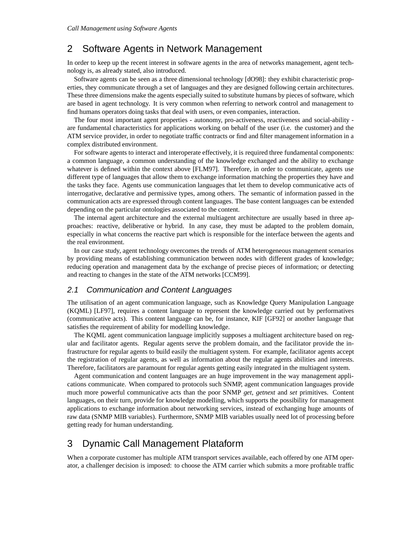### 2 Software Agents in Network Management

In order to keep up the recent interest in software agents in the area of networks management, agent technology is, as already stated, also introduced.

Software agents can be seen as a three dimensional technology [dO98]: they exhibit characteristic properties, they communicate through a set of languages and they are designed following certain architectures. These three dimensions make the agents especially suited to substitute humans by pieces of software, which are based in agent technology. It is very common when referring to network control and management to find humans operators doing tasks that deal with users, or even companies, interaction.

The four most important agent properties - autonomy, pro-activeness, reactiveness and social-ability are fundamental characteristics for applications working on behalf of the user (i.e. the customer) and the ATM service provider, in order to negotiate traffic contracts or find and filter management information in a complex distributed environment.

For software agents to interact and interoperate effectively, it is required three fundamental components: a common language, a common understanding of the knowledge exchanged and the ability to exchange whatever is defined within the context above [FLM97]. Therefore, in order to communicate, agents use different type of languages that allow them to exchange information matching the properties they have and the tasks they face. Agents use communication languages that let them to develop communicative acts of interrogative, declarative and permissive types, among others. The semantic of information passed in the communication acts are expressed through content languages. The base content languages can be extended depending on the particular ontologies associated to the content.

The internal agent architecture and the external multiagent architecture are usually based in three approaches: reactive, deliberative or hybrid. In any case, they must be adapted to the problem domain, especially in what concerns the reactive part which is responsible for the interface between the agents and the real environment.

In our case study, agent technology overcomes the trends of ATM heterogeneous management scenarios by providing means of establishing communication between nodes with different grades of knowledge; reducing operation and management data by the exchange of precise pieces of information; or detecting and reacting to changes in the state of the ATM networks [CCM99].

#### 2.1 Communication and Content Languages

The utilisation of an agent communication language, such as Knowledge Query Manipulation Language (KQML) [LF97], requires a content language to represent the knowledge carried out by performatives (communicative acts). This content language can be, for instance, KIF [GF92] or another language that satisfies the requirement of ability for modelling knowledge.

The KQML agent communication language implicitly supposes a multiagent architecture based on regular and facilitator agents. Regular agents serve the problem domain, and the facilitator provide the infrastructure for regular agents to build easily the multiagent system. For example, facilitator agents accept the registration of regular agents, as well as information about the regular agents abilities and interests. Therefore, facilitators are paramount for regular agents getting easily integrated in the multiagent system.

Agent communication and content languages are an huge improvement in the way management applications communicate. When compared to protocols such SNMP, agent communication languages provide much more powerful communicative acts than the poor SNMP *get*, *getnext* and *set* primitives. Content languages, on their turn, provide for knowledge modelling, which supports the possibility for management applications to exchange information about networking services, instead of exchanging huge amounts of raw data (SNMP MIB variables). Furthermore, SNMP MIB variables usually need lot of processing before getting ready for human understanding.

### 3 Dynamic Call Management Plataform

When a corporate customer has multiple ATM transport services available, each offered by one ATM operator, a challenger decision is imposed: to choose the ATM carrier which submits a more profitable traffic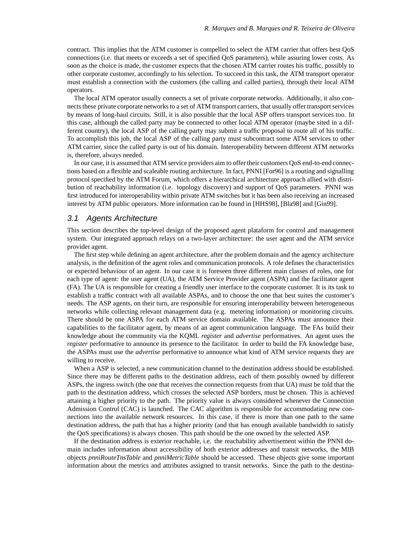contract. This implies that the ATM customer is compelled to select the ATM carrier that offers best QoS connections (i.e. that meets or exceeds a set of specified QoS parameters), while assuring lower costs. As soon as the choice is made, the customer expects that the chosen ATM carrier routes his traffic, possibly to other corporate customer, accordingly to his selection. To succeed in this task, the ATM transport operator must establish a connection with the customers (the calling and called parties), through their local ATM operators.

The local ATM operator usually connects a set of private corporate networks. Additionally, it also connects these private corporate networks to a set of ATM transport carriers, that usually offer transport services by means of long-haul circuits. Still, it is also possible that the local ASP offers transport services too. In this case, although the called party may be connected to other local ATM operator (maybe sited in a different country), the local ASP of the calling party may submit a traffic proposal to route all of his traffic. To accomplish this job, the local ASP of the calling party must subcontract some ATM services to other ATM carrier, since the called party is out of his domain. Interoperability between different ATM networks is, therefore, always needed.

In our case, it is assumed that ATM service providers aim to offer their customers QoS end-to-end connections based on a flexible and scaleable routing architecture. In fact, PNNI [For96] is a routing and signalling protocol specified by the ATM Forum, which offers a hierarchical architecture approach allied with distribution of reachability information (i.e. topology discovery) and support of QoS parameters. PNNI was first introduced for interoperability within private ATM switches but it has been also receiving an increased interest by ATM public operators. More information can be found in [HHS98], [Bla98] and [Gin99].

#### 3.1 Agents Architecture

This section describes the top-level design of the proposed agent plataform for control and management system. Our integrated approach relays on a two-layer architecture: the user agent and the ATM service provider agent.

The first step while defining an agent architecture, after the problem domain and the agency architecture analysis, is the definition of the agent roles and communication protocols. A role defines the characteristics or expected behaviour of an agent. In our case it is foreseen three different main classes of roles, one for each type of agent: the user agent (UA), the ATM Service Provider agent (ASPA) and the facilitator agent (FA). The UA is responsible for creating a friendly user interface to the corporate customer. It is its task to establish a traffic contract with all available ASPAs, and to choose the one that best suites the customer's needs. The ASP agents, on their turn, are responsible for ensuring interoperability between heterogeneous networks while collecting relevant management data (e.g. metering information) or monitoring circuits. There should be one ASPA for each ATM service domain available. The ASPAs must announce their capabilities to the facilitator agent, by means of an agent communication language. The FAs build their knowledge about the community via the KQML *register* and *advertise* performatives. An agent uses the *register* performative to announce its presence to the facilitator. In order to build the FA knowledge base, the ASPAs must use the *advertise* performative to announce what kind of ATM service requests they are willing to receive.

When a ASP is selected, a new communication channel to the destination address should be established. Since there may be different paths to the destination address, each of them possibly owned by different ASPs, the ingress switch (the one that receives the connection requests from that UA) must be told that the path to the destination address, which crosses the selected ASP borders, must be chosen. This is achieved attaining a higher priority to the path. The priority value is always considered whenever the Connection Admission Control (CAC) is launched. The CAC algorithm is responsible for accommodating new connections into the available network resources. In this case, if there is more than one path to the same destination address, the path that has a higher priority (and that has enough available bandwidth to satisfy the QoS specifications) is always chosen. This path should be the one owned by the selected ASP.

If the destination address is exterior reachable, i.e. the reachability advertisement within the PNNI domain includes information about accessibility of both exterior addresses and transit networks, the MIB objects *pnniRouteTnsTable* and *pnniMetricTable* should be accessed. These objects give some important information about the metrics and attributes assigned to transit networks. Since the path to the destina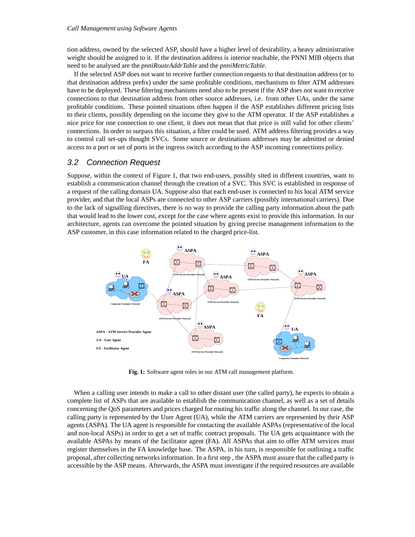tion address, owned by the selected ASP, should have a higher level of desirability, a heavy administrative weight should be assigned to it. If the destination address is interior reachable, the PNNI MIB objects that need to be analysed are the *pnniRouteAddrTable* and the *pnniMetricTable*.

If the selected ASP does not want to receive further connection requests to that destination address (or to that destination address prefix) under the same profitable conditions, mechanisms to filter ATM addresses have to be deployed. These filtering mechanisms need also to be present if the ASP does not want to receive connections to that destination address from other source addresses, i.e. from other UAs, under the same profitable conditions. These pointed situations often happen if the ASP establishes different pricing lists to their clients, possibly depending on the income they give to the ATM operator. If the ASP establishes a nice price for one connection to one client, it does not mean that that price is still valid for other clients' connections. In order to surpass this situation, a filter could be used. ATM address filtering provides a way to control call set-ups thought SVCs. Some source or destinations addresses may be admitted or denied access to a port or set of ports in the ingress switch according to the ASP incoming connections policy.

#### 3.2 Connection Request

Suppose, within the context of Figure 1, that two end-users, possibly sited in different countries, want to establish a communication channel through the creation of a SVC. This SVC is established in response of a request of the calling domain UA. Suppose also that each end-user is connected to his local ATM service provider, and that the local ASPs are connected to other ASP carriers (possibly international carriers). Due to the lack of signalling directives, there is no way to provide the calling party information about the path that would lead to the lower cost, except for the case where agents exist to provide this information. In our architecture, agents can overcome the pointed situation by giving precise management information to the ASP customer, in this case information related to the charged price-list.



**Fig. 1:** Software agent roles in our ATM call management platform.

When a calling user intends to make a call to other distant user (the called party), he expects to obtain a complete list of ASPs that are available to establish the communication channel, as well as a set of details concerning the QoS parameters and prices charged for routing his traffic along the channel. In our case, the calling party is represented by the User Agent (UA), while the ATM carriers are represented by their ASP agents (ASPA). The UA agent is responsible for contacting the available ASPAs (representative of the local and non-local ASPs) in order to get a set of traffic contract proposals. The UA gets acquaintance with the available ASPAs by means of the facilitator agent (FA). All ASPAs that aim to offer ATM services must register themselves in the FA knowledge base. The ASPA, in his turn, is responsible for outlining a traffic proposal, after collecting networks information. In a first step , the ASPA must assure that the called party is accessible by the ASP means. Afterwards, the ASPA must investigate if the required resources are available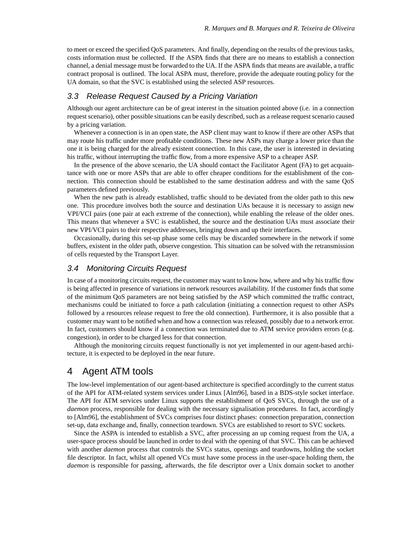to meet or exceed the specified QoS parameters. And finally, depending on the results of the previous tasks, costs information must be collected. If the ASPA finds that there are no means to establish a connection channel, a denial message must be forwarded to the UA. If the ASPA finds that means are available, a traffic contract proposal is outlined. The local ASPA must, therefore, provide the adequate routing policy for the UA domain, so that the SVC is established using the selected ASP resources.

#### 3.3 Release Request Caused by a Pricing Variation

Although our agent architecture can be of great interest in the situation pointed above (i.e. in a connection request scenario), other possible situations can be easily described, such as a release request scenario caused by a pricing variation.

Whenever a connection is in an open state, the ASP client may want to know if there are other ASPs that may route his traffic under more profitable conditions. These new ASPs may charge a lower price than the one it is being charged for the already existent connection. In this case, the user is interested in deviating his traffic, without interrupting the traffic flow, from a more expensive ASP to a cheaper ASP.

In the presence of the above scenario, the UA should contact the Facilitator Agent (FA) to get acquaintance with one or more ASPs that are able to offer cheaper conditions for the establishment of the connection. This connection should be established to the same destination address and with the same QoS parameters defined previously.

When the new path is already established, traffic should to be deviated from the older path to this new one. This procedure involves both the source and destination UAs because it is necessary to assign new VPI/VCI pairs (one pair at each extreme of the connection), while enabling the release of the older ones. This means that whenever a SVC is established, the source and the destination UAs must associate their new VPI/VCI pairs to their respective addresses, bringing down and up their interfaces.

Occasionally, during this set-up phase some cells may be discarded somewhere in the network if some buffers, existent in the older path, observe congestion. This situation can be solved with the retransmission of cells requested by the Transport Layer.

#### 3.4 Monitoring Circuits Request

In case of a monitoring circuits request, the customer may want to know how, where and why his traffic flow is being affected in presence of variations in network resources availability. If the customer finds that some of the minimum QoS parameters are not being satisfied by the ASP which committed the traffic contract, mechanisms could be initiated to force a path calculation (initiating a connection request to other ASPs followed by a resources release request to free the old connection). Furthermore, it is also possible that a customer may want to be notified when and how a connection was released, possibly due to a network error. In fact, customers should know if a connection was terminated due to ATM service providers errors (e.g. congestion), in order to be charged less for that connection.

Although the monitoring circuits request functionally is not yet implemented in our agent-based architecture, it is expected to be deployed in the near future.

### 4 Agent ATM tools

The low-level implementation of our agent-based architecture is specified accordingly to the current status of the API for ATM-related system services under Linux [Alm96], based in a BDS-style socket interface. The API for ATM services under Linux supports the establishment of QoS SVCs, through the use of a *daemon* process, responsible for dealing with the necessary signalisation procedures. In fact, accordingly to [Alm96], the establishment of SVCs comprises four distinct phases: connection preparation, connection set-up, data exchange and, finally, connection teardown. SVCs are established to resort to SVC sockets.

Since the ASPA is intended to establish a SVC, after processing an up coming request from the UA, a user-space process should be launched in order to deal with the opening of that SVC. This can be achieved with another *daemon* process that controls the SVCs status, openings and teardowns, holding the socket file descriptor. In fact, whilst all opened VCs must have some process in the user-space holding them, the *daemon* is responsible for passing, afterwards, the file descriptor over a Unix domain socket to another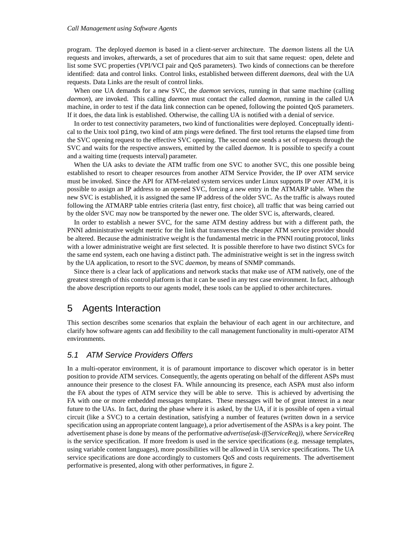program. The deployed *daemon* is based in a client-server architecture. The *daemon* listens all the UA requests and invokes, afterwards, a set of procedures that aim to suit that same request: open, delete and list some SVC properties (VPI/VCI pair and QoS parameters). Two kinds of connections can be therefore identified: data and control links. Control links, established between different *daemons*, deal with the UA requests. Data Links are the result of control links.

When one UA demands for a new SVC, the *daemon* services, running in that same machine (calling *daemon*), are invoked. This calling *daemon* must contact the called *daemon*, running in the called UA machine, in order to test if the data link connection can be opened, following the pointed QoS parameters. If it does, the data link is established. Otherwise, the calling UA is notified with a denial of service.

In order to test connectivity parameters, two kind of functionalities were deployed. Conceptually identical to the Unix tool ping, two kind of atm pings were defined. The first tool returns the elapsed time from the SVC opening request to the effective SVC opening. The second one sends a set of requests through the SVC and waits for the respective answers, emitted by the called *daemon*. It is possible to specify a count and a waiting time (requests interval) parameter.

When the UA asks to deviate the ATM traffic from one SVC to another SVC, this one possible being established to resort to cheaper resources from another ATM Service Provider, the IP over ATM service must be invoked. Since the API for ATM-related system services under Linux supports IP over ATM, it is possible to assign an IP address to an opened SVC, forcing a new entry in the ATMARP table. When the new SVC is established, it is assigned the same IP address of the older SVC. As the traffic is always routed following the ATMARP table entries criteria (last entry, first choice), all traffic that was being carried out by the older SVC may now be transported by the newer one. The older SVC is, afterwards, cleared.

In order to establish a newer SVC, for the same ATM destiny address but with a different path, the PNNI administrative weight metric for the link that transverses the cheaper ATM service provider should be altered. Because the administrative weight is the fundamental metric in the PNNI routing protocol, links with a lower administrative weight are first selected. It is possible therefore to have two distinct SVCs for the same end system, each one having a distinct path. The administrative weight is set in the ingress switch by the UA application, to resort to the SVC *daemon*, by means of SNMP commands.

Since there is a clear lack of applications and network stacks that make use of ATM natively, one of the greatest strength of this control platform is that it can be used in any test case environment. In fact, although the above description reports to our agents model, these tools can be applied to other architectures.

### 5 Agents Interaction

This section describes some scenarios that explain the behaviour of each agent in our architecture, and clarify how software agents can add flexibility to the call management functionality in multi-operator ATM environments.

#### 5.1 ATM Service Providers Offers

In a multi-operator environment, it is of paramount importance to discover which operator is in better position to provide ATM services. Consequently, the agents operating on behalf of the different ASPs must announce their presence to the closest FA. While announcing its presence, each ASPA must also inform the FA about the types of ATM service they will be able to serve. This is achieved by advertising the FA with one or more embedded messages templates. These messages will be of great interest in a near future to the UAs. In fact, during the phase where it is asked, by the UA, if it is possible of open a virtual circuit (like a SVC) to a certain destination, satisfying a number of features (written down in a service specification using an appropriate content language), a prior advertisement of the ASPAs is a key point. The advertisement phase is done by means of the performative *advertise(ask-if(ServiceReq))*, where *ServiceReq* is the service specification. If more freedom is used in the service specifications (e.g. message templates, using variable content languages), more possibilities will be allowed in UA service specifications. The UA service specifications are done accordingly to customers QoS and costs requirements. The advertisement performative is presented, along with other performatives, in figure 2.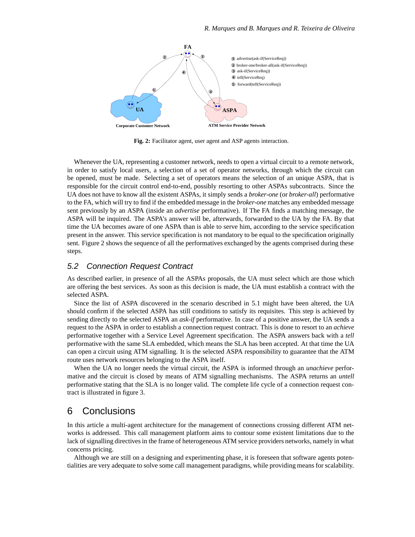

**Fig. 2:** Facilitator agent, user agent and ASP agents interaction.

Whenever the UA, representing a customer network, needs to open a virtual circuit to a remote network, in order to satisfy local users, a selection of a set of operator networks, through which the circuit can be opened, must be made. Selecting a set of operators means the selection of an unique ASPA, that is responsible for the circuit control end-to-end, possibly resorting to other ASPAs subcontracts. Since the UA does not have to know all the existent ASPAs, it simply sends a *broker-one* (or *broker-all*) performative to the FA, which will try to find if the embedded message in the *broker-one* matches any embedded message sent previously by an ASPA (inside an *advertise* performative). If The FA finds a matching message, the ASPA will be inquired. The ASPA's answer will be, afterwards, forwarded to the UA by the FA. By that time the UA becomes aware of one ASPA than is able to serve him, according to the service specification present in the answer. This service specification is not mandatory to be equal to the specification originally sent. Figure 2 shows the sequence of all the performatives exchanged by the agents comprised during these steps.

#### 5.2 Connection Request Contract

As described earlier, in presence of all the ASPAs proposals, the UA must select which are those which are offering the best services. As soon as this decision is made, the UA must establish a contract with the selected ASPA.

Since the list of ASPA discovered in the scenario described in 5.1 might have been altered, the UA should confirm if the selected ASPA has still conditions to satisfy its requisites. This step is achieved by sending directly to the selected ASPA an *ask-if* performative. In case of a positive answer, the UA sends a request to the ASPA in order to establish a connection request contract. This is done to resort to an *achieve* performative together with a Service Level Agreement specification. The ASPA answers back with a *tell* performative with the same SLA embedded, which means the SLA has been accepted. At that time the UA can open a circuit using ATM signalling. It is the selected ASPA responsibility to guarantee that the ATM route uses network resources belonging to the ASPA itself.

When the UA no longer needs the virtual circuit, the ASPA is informed through an *unachieve* performative and the circuit is closed by means of ATM signalling mechanisms. The ASPA returns an *untell* performative stating that the SLA is no longer valid. The complete life cycle of a connection request contract is illustrated in figure 3.

### 6 Conclusions

In this article a multi-agent architecture for the management of connections crossing different ATM networks is addressed. This call management platform aims to contour some existent limitations due to the lack of signalling directives in the frame of heterogeneous ATM service providers networks, namely in what concerns pricing.

Although we are still on a designing and experimenting phase, it is foreseen that software agents potentialities are very adequate to solve some call management paradigms, while providing means for scalability.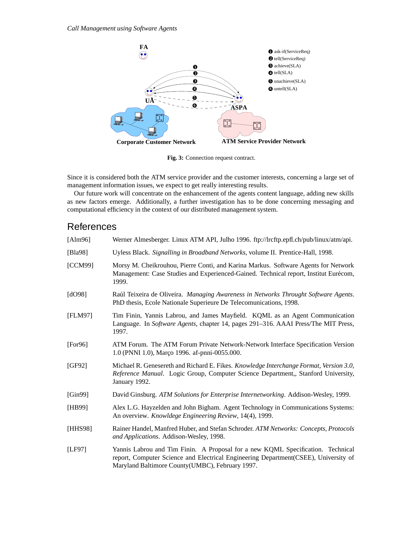

Fig. 3: Connection request contract.

Since it is considered both the ATM service provider and the customer interests, concerning a large set of management information issues, we expect to get really interesting results.

Our future work will concentrate on the enhancement of the agents content language, adding new skills as new factors emerge. Additionally, a further investigation has to be done concerning messaging and computational efficiency in the context of our distributed management system.

## References

| [Alm96]                 | Werner Almesberger. Linux ATM API, Julho 1996. ftp://lrcftp.epfl.ch/pub/linux/atm/api.                                                                                                                                    |
|-------------------------|---------------------------------------------------------------------------------------------------------------------------------------------------------------------------------------------------------------------------|
| [Bla98]                 | Uyless Black. Signalling in Broadband Networks, volume II. Prentice-Hall, 1998.                                                                                                                                           |
| [CCM99]                 | Morsy M. Cheikrouhou, Pierre Conti, and Karina Markus. Software Agents for Network<br>Management: Case Studies and Experienced-Gained. Technical report, Institut Eurécom,<br>1999.                                       |
| $\left[$ dO98 $\right]$ | Raúl Teixeira de Oliveira. Managing Awareness in Networks Throught Software Agents.<br>PhD thesis, Ecole Nationale Superieure De Telecomunications, 1998.                                                                 |
| [FLM97]                 | Tim Finin, Yannis Labrou, and James Mayfield. KQML as an Agent Communication<br>Language. In Software Agents, chapter 14, pages 291-316. AAAI Press/The MIT Press,<br>1997.                                               |
| [For 96]                | ATM Forum. The ATM Forum Private Network-Network Interface Specification Version<br>1.0 (PNNI 1.0), Março 1996. af-pnni-0055.000.                                                                                         |
| [GF92]                  | Michael R. Genesereth and Richard E. Fikes. Knowledge Interchange Format, Version 3.0,<br>Reference Manual. Logic Group, Computer Science Department,, Stanford University,<br>January 1992.                              |
| [Gin99]                 | David Ginsburg. ATM Solutions for Enterprise Internetworking. Addison-Wesley, 1999.                                                                                                                                       |
| [HB99]                  | Alex L.G. Hayzelden and John Bigham. Agent Technology in Communications Systems:<br>An overview. Knowldege Engineering Review, 14(4), 1999.                                                                               |
| [HHS98]                 | Rainer Handel, Manfred Huber, and Stefan Schroder. ATM Networks: Concepts, Protocols<br>and Applications. Addison-Wesley, 1998.                                                                                           |
| [LF97]                  | Yannis Labrou and Tim Finin. A Proposal for a new KQML Specification. Technical<br>report, Computer Science and Electrical Engineering Department(CSEE), University of<br>Maryland Baltimore County(UMBC), February 1997. |